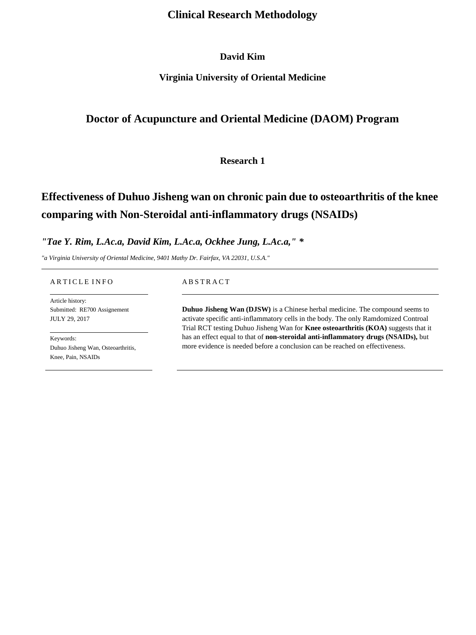# **Clinical Research Methodology**

# **David Kim**

# **Virginia University of Oriental Medicine**

# **Doctor of Acupuncture and Oriental Medicine (DAOM) Program**

# **Research 1**

# **Effectiveness of Duhuo Jisheng wan on chronic pain due to osteoarthritis of the knee comparing with Non-Steroidal anti-inflammatory drugs (NSAIDs)**

### *"Tae Y. Rim, L.Ac.a, David Kim, L.Ac.a, Ockhee Jung, L.Ac.a," \**

*"a Virginia University of Oriental Medicine, 9401 Mathy Dr. Fairfax, VA 22031, U.S.A."* 

#### A R T I C L E I N F O

Article history: Submitted: RE700 Assignement JULY 29, 2017

Keywords: Duhuo Jisheng Wan, Osteoarthritis, Knee, Pain, NSAIDs

#### A B S T R A C T

**Duhuo Jisheng Wan (DJSW)** is a Chinese herbal medicine. The compound seems to activate specific anti-inflammatory cells in the body. The only Ramdomized Controal Trial RCT testing Duhuo Jisheng Wan for **Knee [osteoarthritis](http://www.arthritisresearchuk.org/arthritis-information/conditions/osteoarthritis.aspx) (KOA)** suggests that it has an effect equal to that of **[non-steroidal anti-inflammatory drugs \(NSAIDs\),](http://www.arthritisresearchuk.org/arthritis-information/drugs/nsaids.aspx)** but more evidence is needed before a conclusion can be reached on effectiveness.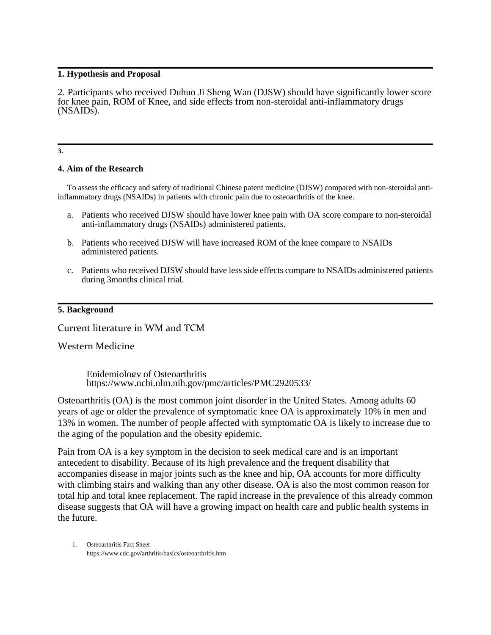#### **1. Hypothesis and Proposal**

2. Participants who received Duhuo Ji Sheng Wan (DJSW) should have significantly lower score for knee pain, ROM of Knee, and side effects from non-steroidal anti-inflammatory drugs (NSAIDs).

**3.**

## **4. Aim of the Research**

To assess the efficacy and safety of traditional Chinese patent medicine (DJSW) compared with non-steroidal antiinflammatory drugs (NSAIDs) in patients with chronic pain due to osteoarthritis of the knee.

- a. Patients who received DJSW should have lower knee pain with OA score compare to [non-steroidal](http://www.arthritisresearchuk.org/arthritis-information/drugs/nsaids.aspx)  [anti-inflammatory drugs \(NSAIDs\)](http://www.arthritisresearchuk.org/arthritis-information/drugs/nsaids.aspx) administered patients.
- b. Patients who received DJSW will have increased ROM of the knee compare to NSAIDs administered patients.
- c. Patients who received DJSW should have less side effects compare to NSAIDs administered patients during 3months clinical trial.

### **5. Background**

Current literature in WM and TCM

## Western Medicine

Epidemiology of Osteoarthritis <https://www.ncbi.nlm.nih.gov/pmc/articles/PMC2920533/>

Osteoarthritis (OA) is the most common joint disorder in the United States. Among adults 60 years of age or older the prevalence of symptomatic knee OA is approximately 10% in men and 13% in women. The number of people affected with symptomatic OA is likely to increase due to the aging of the population and the obesity epidemic.

Pain from OA is a key symptom in the decision to seek medical care and is an important antecedent to disability. Because of its high prevalence and the frequent disability that accompanies disease in major joints such as the knee and hip, OA accounts for more difficulty with climbing stairs and walking than any other disease. OA is also the most common reason for total hip and total knee replacement. The rapid increase in the prevalence of this already common disease suggests that OA will have a growing impact on health care and public health systems in the future.

1. Osteoarthritis Fact Sheet <https://www.cdc.gov/arthritis/basics/osteoarthritis.htm>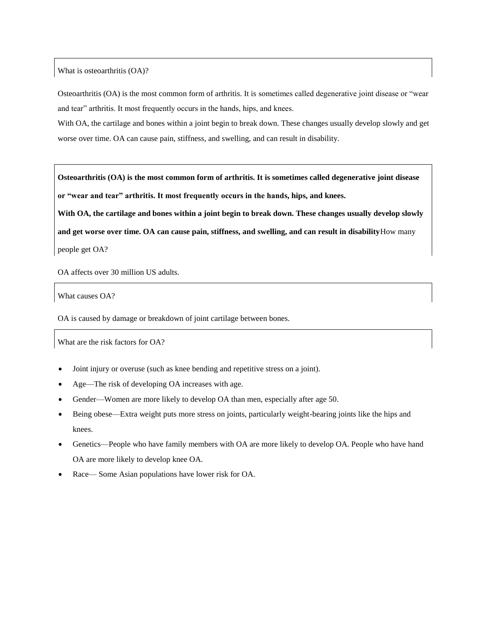What is osteoarthritis (OA)?

Osteoarthritis (OA) is the most common form of arthritis. It is sometimes called degenerative joint disease or "wear and tear" arthritis. It most frequently occurs in the hands, hips, and knees.

With OA, the cartilage and bones within a joint begin to break down. These changes usually develop slowly and get worse over time. OA can cause pain, stiffness, and swelling, and can result in disability.

**Osteoarthritis (OA) is the most common form of arthritis. It is sometimes called degenerative joint disease or "wear and tear" arthritis. It most frequently occurs in the hands, hips, and knees.**

**With OA, the cartilage and bones within a joint begin to break down. These changes usually develop slowly and get worse over time. OA can cause pain, stiffness, and swelling, and can result in disability**How many people get OA?

OA affects over 30 million US adults.

What causes OA?

OA is caused by damage or breakdown of joint cartilage between bones.

What are the risk factors for OA?

- Joint injury or overuse (such as knee bending and repetitive stress on a joint).
- Age—The risk of developing OA increases with age.
- Gender—Women are more likely to develop OA than men, especially after age 50.
- Being obese—Extra weight puts more stress on joints, particularly weight-bearing joints like the hips and knees.
- Genetics—People who have family members with OA are more likely to develop OA. People who have hand OA are more likely to develop knee OA.
- Race— Some Asian populations have lower risk for OA.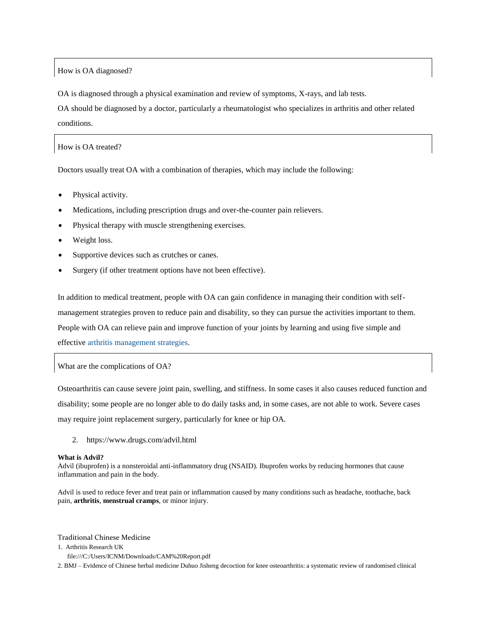#### How is OA diagnosed?

OA is diagnosed through a physical examination and review of symptoms, X-rays, and lab tests.

OA should be diagnosed by a doctor, particularly a rheumatologist who specializes in arthritis and other related conditions.

How is OA treated?

Doctors usually treat OA with a combination of therapies, which may include the following:

- Physical activity.
- Medications, including prescription drugs and over-the-counter pain relievers.
- Physical therapy with muscle strengthening exercises.
- Weight loss.
- Supportive devices such as crutches or canes.
- Surgery (if other treatment options have not been effective).

In addition to medical treatment, people with OA can gain confidence in managing their condition with selfmanagement strategies proven to reduce pain and disability, so they can pursue the activities important to them. People with OA can relieve pain and improve function of your joints by learning and using five simple and effective [arthritis management strategies.](https://www.cdc.gov/arthritis/about/key-messages.htm)

What are the complications of OA?

Osteoarthritis can cause severe joint pain, swelling, and stiffness. In some cases it also causes reduced function and disability; some people are no longer able to do daily tasks and, in some cases, are not able to work. Severe cases may require joint replacement surgery, particularly for knee or hip OA.

2. https://www.drugs.com/advil.html

#### **What is Advil?**

Advil (ibuprofen) is a nonsteroidal anti-inflammatory drug (NSAID). Ibuprofen works by reducing hormones that cause inflammation and pain in the body.

Advil is used to reduce fever and treat pain or inflammation caused by many conditions such as headache, toothache, back pain, **[arthritis](https://www.drugs.com/mcd/arthritis)**, **[menstrual cramps](https://www.drugs.com/mcd/menstrual-cramps)**, or minor injury.

Traditional Chinese Medicine

- 1. Arthritis Research UK
- <file:///C:/Users/ICNM/Downloads/CAM%20Report.pdf>

2. BMJ – Evidence of Chinese herbal medicine Duhuo Jisheng decoction for knee osteoarthritis: a systematic review of randomised clinical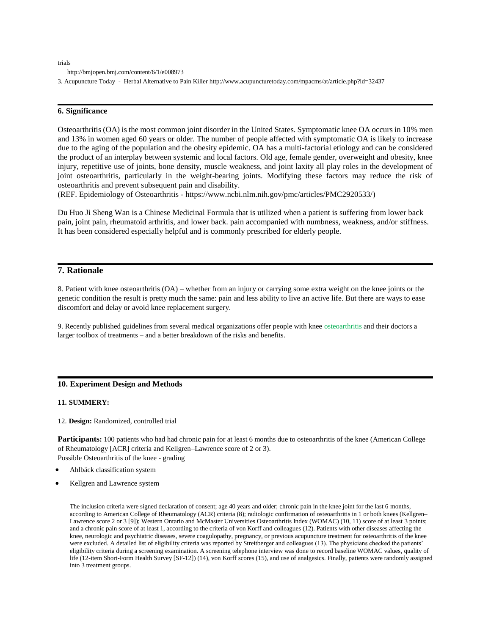trials

<http://bmjopen.bmj.com/content/6/1/e008973>

3. Acupuncture Today - Herbal Alternative to Pain Kille[r http://www.acupuncturetoday.com/mpacms/at/article.php?id=32437](http://www.acupuncturetoday.com/mpacms/at/article.php?id=32437)

#### **6. Significance**

Osteoarthritis (OA) is the most common joint disorder in the United States. Symptomatic knee OA occurs in 10% men and 13% in women aged 60 years or older. The number of people affected with symptomatic OA is likely to increase due to the aging of the population and the obesity epidemic. OA has a multi-factorial etiology and can be considered the product of an interplay between systemic and local factors. Old age, female gender, overweight and obesity, knee injury, repetitive use of joints, bone density, muscle weakness, and joint laxity all play roles in the development of joint osteoarthritis, particularly in the weight-bearing joints. Modifying these factors may reduce the risk of osteoarthritis and prevent subsequent pain and disability.

(REF. Epidemiology of Osteoarthritis - [https://www.ncbi.nlm.nih.gov/pmc/articles/PMC2920533/\)](https://www.ncbi.nlm.nih.gov/pmc/articles/PMC2920533/)

Du Huo Ji Sheng Wan is a Chinese Medicinal Formula that is utilized when a patient is suffering from lower back pain, joint pain, rheumatoid arthritis, and lower back. pain accompanied with numbness, weakness, and/or stiffness. It has been considered especially helpful and is commonly prescribed for elderly people.

#### **7. Rationale**

8. Patient with knee osteoarthritis (OA) – whether from an injury or carrying some extra weight on the knee joints or the genetic condition the result is pretty much the same: pain and less ability to live an active life. But there are ways to ease discomfort and delay or avoid knee replacement surgery.

9. Recently published guidelines from several medical organizations offer people with knee [osteoarthritis](http://www.arthritis.org/about-arthritis/types/osteoarthritis/) and their doctors a larger toolbox of treatments – and a better breakdown of the risks and benefits.

#### **10. Experiment Design and Methods**

#### **11. SUMMERY:**

12. **Design:** Randomized, controlled trial

**Participants:** 100 patients who had had chronic pain for at least 6 months due to osteoarthritis of the knee (American College of Rheumatology [ACR] criteria and Kellgren–Lawrence score of 2 or 3). Possible Osteoarthritis of the knee - grading

- [Ahlbäck classification system](https://radiopaedia.org/articles/ahlback-classification-of-osteoarthritis-of-the-knee-joint)
- Kellgren and Lawrence system

The inclusion criteria were signed declaration of consent; age 40 years and older; chronic pain in the knee joint for the last 6 months, according to American College of Rheumatology (ACR) criteria (8); radiologic confirmation of osteoarthritis in 1 or both knees (Kellgren– Lawrence score 2 or 3 [9]); Western Ontario and McMaster Universities Osteoarthritis Index (WOMAC) (10, 11) score of at least 3 points; and a chronic pain score of at least 1, according to the criteria of von Korff and colleagues (12). Patients with other diseases affecting the knee, neurologic and psychiatric diseases, severe coagulopathy, pregnancy, or previous acupuncture treatment for osteoarthritis of the knee were excluded. A detailed list of eligibility criteria was reported by Streitberger and colleagues (13). The physicians checked the patients' eligibility criteria during a screening examination. A screening telephone interview was done to record baseline WOMAC values, quality of life (12-item Short-Form Health Survey [SF-12]) (14), von Korff scores (15), and use of analgesics. Finally, patients were randomly assigned into 3 treatment groups.